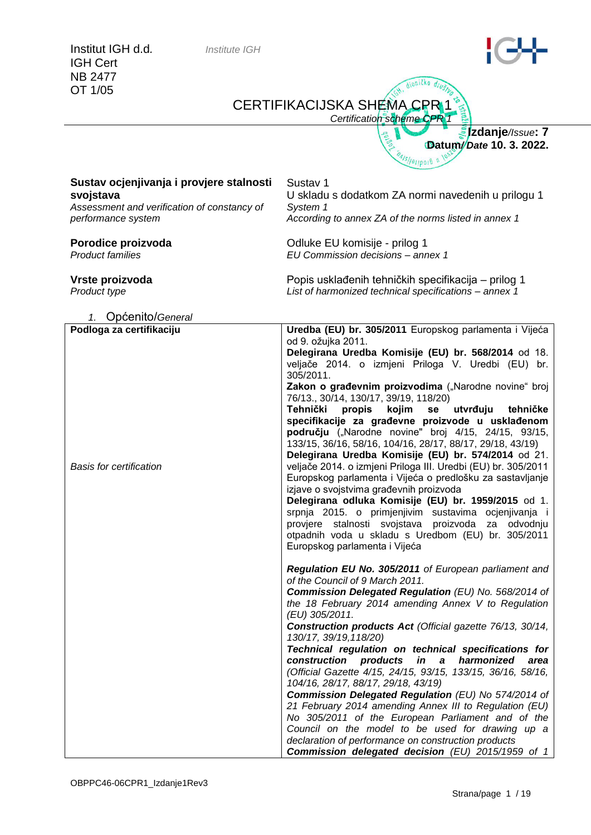|                                                                                                                            | Certification scheme CPR 1                                                                                                                                                                                                                                                                                                                                                                                                                                                                                                                                                                                                                                                                                                                                                                                                                                                                                                                                                     |
|----------------------------------------------------------------------------------------------------------------------------|--------------------------------------------------------------------------------------------------------------------------------------------------------------------------------------------------------------------------------------------------------------------------------------------------------------------------------------------------------------------------------------------------------------------------------------------------------------------------------------------------------------------------------------------------------------------------------------------------------------------------------------------------------------------------------------------------------------------------------------------------------------------------------------------------------------------------------------------------------------------------------------------------------------------------------------------------------------------------------|
|                                                                                                                            | <b>Elzdanje</b> /Issue: 7<br>qei <sup>667</sup><br>Datum/Date 10. 3. 2022.<br>$\frac{1}{\sqrt{2}}$                                                                                                                                                                                                                                                                                                                                                                                                                                                                                                                                                                                                                                                                                                                                                                                                                                                                             |
| Sustav ocjenjivanja i provjere stalnosti<br>svojstava<br>Assessment and verification of constancy of<br>performance system | Sustav <sub>1</sub><br>U skladu s dodatkom ZA normi navedenih u prilogu 1<br>System 1<br>According to annex ZA of the norms listed in annex 1                                                                                                                                                                                                                                                                                                                                                                                                                                                                                                                                                                                                                                                                                                                                                                                                                                  |
| Porodice proizvoda<br><b>Product families</b>                                                                              | Odluke EU komisije - prilog 1<br>EU Commission decisions - annex 1                                                                                                                                                                                                                                                                                                                                                                                                                                                                                                                                                                                                                                                                                                                                                                                                                                                                                                             |
| Vrste proizvoda<br>Product type                                                                                            | Popis usklađenih tehničkih specifikacija – prilog 1<br>List of harmonized technical specifications - annex 1                                                                                                                                                                                                                                                                                                                                                                                                                                                                                                                                                                                                                                                                                                                                                                                                                                                                   |
|                                                                                                                            |                                                                                                                                                                                                                                                                                                                                                                                                                                                                                                                                                                                                                                                                                                                                                                                                                                                                                                                                                                                |
| 1. Općenito/General                                                                                                        |                                                                                                                                                                                                                                                                                                                                                                                                                                                                                                                                                                                                                                                                                                                                                                                                                                                                                                                                                                                |
| Podloga za certifikaciju                                                                                                   | Uredba (EU) br. 305/2011 Europskog parlamenta i Vijeća                                                                                                                                                                                                                                                                                                                                                                                                                                                                                                                                                                                                                                                                                                                                                                                                                                                                                                                         |
| <b>Basis for certification</b>                                                                                             | od 9. ožujka 2011.<br>Delegirana Uredba Komisije (EU) br. 568/2014 od 18.<br>veljače 2014. o izmjeni Priloga V. Uredbi (EU) br.<br>305/2011.<br>Zakon o građevnim proizvodima ("Narodne novine" broj<br>76/13., 30/14, 130/17, 39/19, 118/20)<br>Tehnički<br>propis<br>kojim<br>utvrđuju<br>se<br>tehničke<br>specifikacije za građevne proizvode u usklađenom<br>području ("Narodne novine" broj 4/15, 24/15, 93/15,<br>133/15, 36/16, 58/16, 104/16, 28/17, 88/17, 29/18, 43/19)<br>Delegirana Uredba Komisije (EU) br. 574/2014 od 21.<br>veljače 2014. o izmjeni Priloga III. Uredbi (EU) br. 305/2011<br>Europskog parlamenta i Vijeća o predlošku za sastavljanje<br>izjave o svojstvima građevnih proizvoda<br>Delegirana odluka Komisije (EU) br. 1959/2015 od 1.<br>srpnja 2015. o primjenjivim sustavima ocjenjivanja i<br>provjere stalnosti svojstava proizvoda za odvodnju<br>otpadnih voda u skladu s Uredbom (EU) br. 305/2011<br>Europskog parlamenta i Vijeća |
|                                                                                                                            | Regulation EU No. 305/2011 of European parliament and<br>of the Council of 9 March 2011.<br>Commission Delegated Regulation (EU) No. 568/2014 of<br>the 18 February 2014 amending Annex V to Regulation<br>(EU) 305/2011.<br>Construction products Act (Official gazette 76/13, 30/14,<br>130/17, 39/19, 118/20)<br>Technical regulation on technical specifications for<br>construction products in a harmonized<br>area<br>(Official Gazette 4/15, 24/15, 93/15, 133/15, 36/16, 58/16,<br>104/16, 28/17, 88/17, 29/18, 43/19)<br>Commission Delegated Regulation (EU) No 574/2014 of<br>21 February 2014 amending Annex III to Regulation (EU)<br>No 305/2011 of the European Parliament and of the<br>Council on the model to be used for drawing up a<br>declaration of performance on construction products<br>Commission delegated decision (EU) 2015/1959 of 1                                                                                                          |

CERTIFIKACIJSKA SHEMA CPR 1

GH, dioničko drušn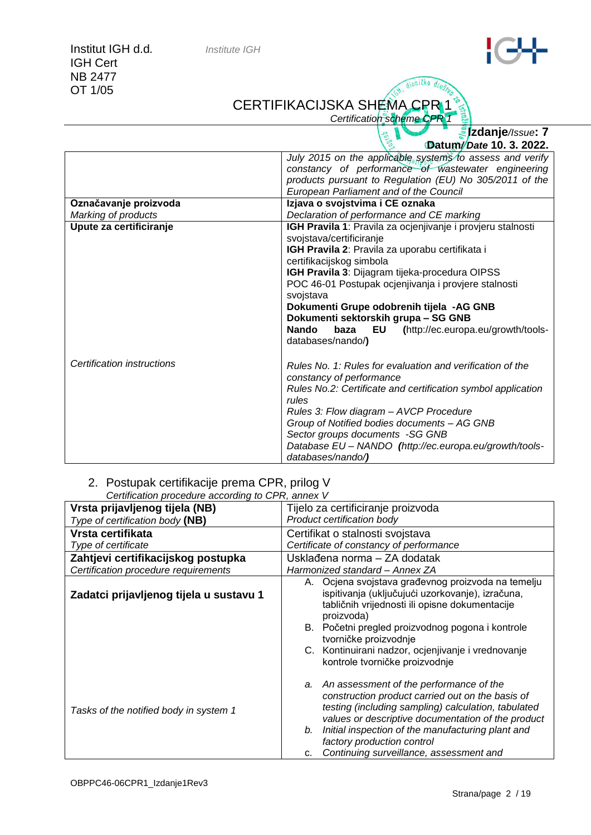### CERTIFIKACIJSKA SHEMA CPR 1

*Certification scheme CPR* 

Ġ,

th, dionicko drug

**Izdanje***/Issue***: 7 Datum***/ Date* **10. 3. 2022.**

|                            | July 2015 on the applicable systems to assess and verify<br>constancy of performance of wastewater engineering                                                                                                                                                                                                                                                                                                                                                         |  |  |  |
|----------------------------|------------------------------------------------------------------------------------------------------------------------------------------------------------------------------------------------------------------------------------------------------------------------------------------------------------------------------------------------------------------------------------------------------------------------------------------------------------------------|--|--|--|
|                            | products pursuant to Regulation (EU) No 305/2011 of the<br>European Parliament and of the Council                                                                                                                                                                                                                                                                                                                                                                      |  |  |  |
| Označavanje proizvoda      | Izjava o svojstvima i CE oznaka                                                                                                                                                                                                                                                                                                                                                                                                                                        |  |  |  |
| Marking of products        | Declaration of performance and CE marking                                                                                                                                                                                                                                                                                                                                                                                                                              |  |  |  |
| Upute za certificiranje    | IGH Pravila 1: Pravila za ocjenjivanje i provjeru stalnosti<br>svojstava/certificiranje<br>IGH Pravila 2: Pravila za uporabu certifikata i<br>certifikacijskog simbola<br>IGH Pravila 3: Dijagram tijeka-procedura OIPSS<br>POC 46-01 Postupak ocjenjivanja i provjere stalnosti<br>svojstava<br>Dokumenti Grupe odobrenih tijela -AG GNB<br>Dokumenti sektorskih grupa - SG GNB<br><b>Nando</b><br>EU (http://ec.europa.eu/growth/tools-<br>baza<br>databases/nando/) |  |  |  |
| Certification instructions | Rules No. 1: Rules for evaluation and verification of the<br>constancy of performance<br>Rules No.2: Certificate and certification symbol application<br>rules<br>Rules 3: Flow diagram - AVCP Procedure<br>Group of Notified bodies documents - AG GNB<br>Sector groups documents -SG GNB<br>Database EU - NANDO (http://ec.europa.eu/growth/tools-<br>databases/nando/)                                                                                              |  |  |  |

### 2. Postupak certifikacije prema CPR, prilog V

| Certification procedure according to CPR, annex V |                                                                                                                                                                                                                                                                                                                                                                                         |  |  |
|---------------------------------------------------|-----------------------------------------------------------------------------------------------------------------------------------------------------------------------------------------------------------------------------------------------------------------------------------------------------------------------------------------------------------------------------------------|--|--|
| Vrsta prijavljenog tijela (NB)                    | Tijelo za certificiranje proizvoda                                                                                                                                                                                                                                                                                                                                                      |  |  |
| Type of certification body (NB)                   | Product certification body                                                                                                                                                                                                                                                                                                                                                              |  |  |
| Vrsta certifikata                                 | Certifikat o stalnosti svojstava                                                                                                                                                                                                                                                                                                                                                        |  |  |
| Type of certificate                               | Certificate of constancy of performance                                                                                                                                                                                                                                                                                                                                                 |  |  |
| Zahtjevi certifikacijskog postupka                | Usklađena norma – ZA dodatak                                                                                                                                                                                                                                                                                                                                                            |  |  |
| Certification procedure requirements              | Harmonized standard - Annex ZA                                                                                                                                                                                                                                                                                                                                                          |  |  |
| Zadatci prijavljenog tijela u sustavu 1           | A. Ocjena svojstava građevnog proizvoda na temelju<br>ispitivanja (uključujući uzorkovanje), izračuna,<br>tabličnih vrijednosti ili opisne dokumentacije<br>proizvoda)<br>B. Početni pregled proizvodnog pogona i kontrole<br>tvorničke proizvodnje<br>C. Kontinuirani nadzor, ocjenjivanje i vrednovanje                                                                               |  |  |
| Tasks of the notified body in system 1            | kontrole tvorničke proizvodnje<br>a. An assessment of the performance of the<br>construction product carried out on the basis of<br>testing (including sampling) calculation, tabulated<br>values or descriptive documentation of the product<br>Initial inspection of the manufacturing plant and<br>b.<br>factory production control<br>Continuing surveillance, assessment and<br>c. |  |  |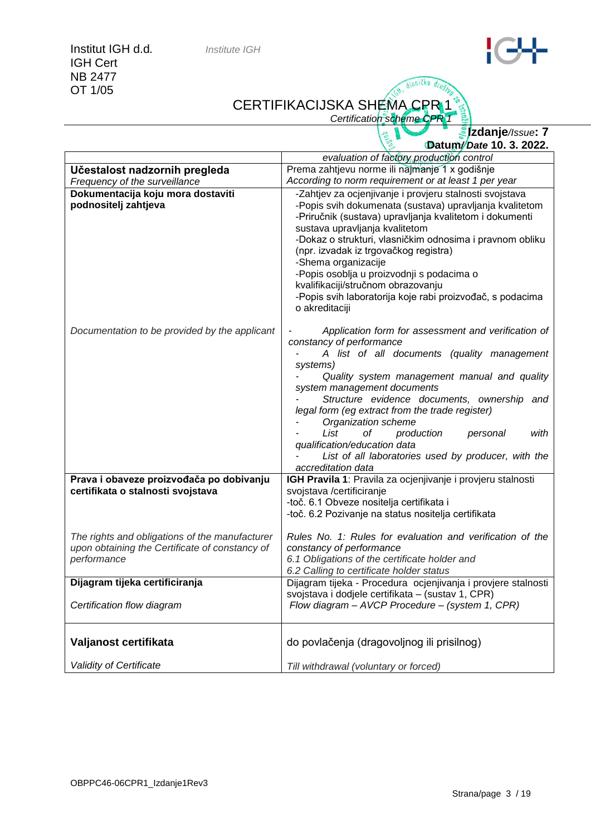# CERTIFIKACIJSKA SHEMA CPR 1

*Certification scheme CPR* 

it, dioničko drug

|                                                                                                                 | <u> ∦</u> zdanje//ssue: 7<br>Datum/Date 10. 3. 2022.                                                                                                                                                                                                                                                                                                                                                                                                                                                            |
|-----------------------------------------------------------------------------------------------------------------|-----------------------------------------------------------------------------------------------------------------------------------------------------------------------------------------------------------------------------------------------------------------------------------------------------------------------------------------------------------------------------------------------------------------------------------------------------------------------------------------------------------------|
|                                                                                                                 | evaluation of factory production control                                                                                                                                                                                                                                                                                                                                                                                                                                                                        |
| Učestalost nadzornih pregleda                                                                                   | Prema zahtjevu norme ili najmanje 1 x godišnje                                                                                                                                                                                                                                                                                                                                                                                                                                                                  |
| Frequency of the surveillance                                                                                   | According to norm requirement or at least 1 per year                                                                                                                                                                                                                                                                                                                                                                                                                                                            |
| Dokumentacija koju mora dostaviti<br>podnositelj zahtjeva                                                       | -Zahtjev za ocjenjivanje i provjeru stalnosti svojstava<br>-Popis svih dokumenata (sustava) upravljanja kvalitetom<br>-Priručnik (sustava) upravljanja kvalitetom i dokumenti<br>sustava upravljanja kvalitetom<br>-Dokaz o strukturi, vlasničkim odnosima i pravnom obliku<br>(npr. izvadak iz trgovačkog registra)<br>-Shema organizacije<br>-Popis osoblja u proizvodnji s podacima o<br>kvalifikaciji/stručnom obrazovanju<br>-Popis svih laboratorija koje rabi proizvođač, s podacima<br>o akreditaciji   |
| Documentation to be provided by the applicant                                                                   | Application form for assessment and verification of<br>constancy of performance<br>A list of all documents (quality management<br>systems)<br>Quality system management manual and quality<br>system management documents<br>Structure evidence documents, ownership and<br>legal form (eg extract from the trade register)<br>Organization scheme<br>List<br>οf<br>production<br>with<br>personal<br>qualification/education data<br>List of all laboratories used by producer, with the<br>accreditation data |
| Prava i obaveze proizvođača po dobivanju<br>certifikata o stalnosti svojstava                                   | IGH Pravila 1: Pravila za ocjenjivanje i provjeru stalnosti<br>svojstava /certificiranje<br>-toč. 6.1 Obveze nositelja certifikata i<br>-toč. 6.2 Pozivanje na status nositelja certifikata                                                                                                                                                                                                                                                                                                                     |
| The rights and obligations of the manufacturer<br>upon obtaining the Certificate of constancy of<br>performance | Rules No. 1: Rules for evaluation and verification of the<br>constancy of performance<br>6.1 Obligations of the certificate holder and<br>6.2 Calling to certificate holder status                                                                                                                                                                                                                                                                                                                              |
| Dijagram tijeka certificiranja                                                                                  | Dijagram tijeka - Procedura ocjenjivanja i provjere stalnosti                                                                                                                                                                                                                                                                                                                                                                                                                                                   |
| Certification flow diagram                                                                                      | svojstava i dodjele certifikata – (sustav 1, CPR)<br>Flow diagram - AVCP Procedure - (system 1, CPR)                                                                                                                                                                                                                                                                                                                                                                                                            |
| Valjanost certifikata                                                                                           | do povlačenja (dragovoljnog ili prisilnog)                                                                                                                                                                                                                                                                                                                                                                                                                                                                      |
| Validity of Certificate                                                                                         | Till withdrawal (voluntary or forced)                                                                                                                                                                                                                                                                                                                                                                                                                                                                           |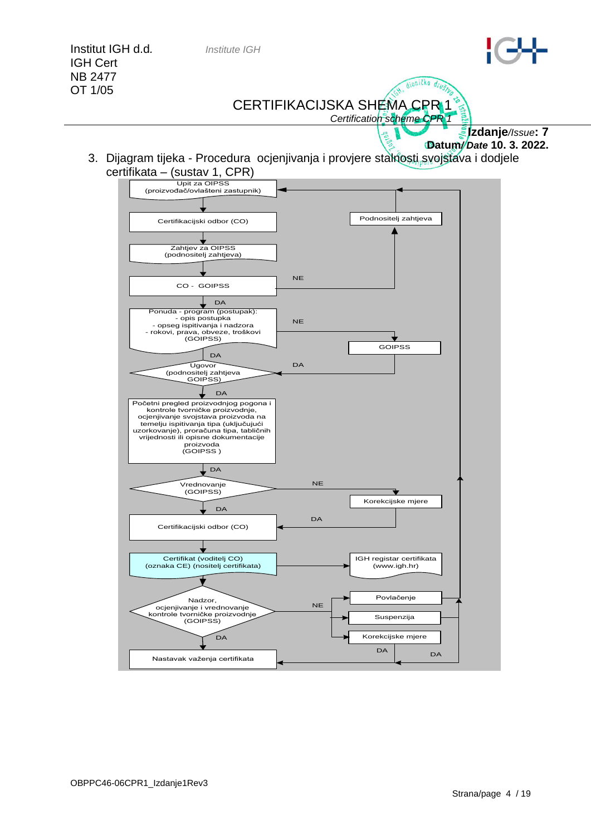

*Certification scheme CPR 1*

**Izdanje***/Issue***: 7**

**Datum***/ Date* **10. 3. 2022.**

3. Dijagram tijeka - Procedura ocjenjivanja i provjere stalnosti svojstava i dodjele certifikata – (sustav 1, CPR)

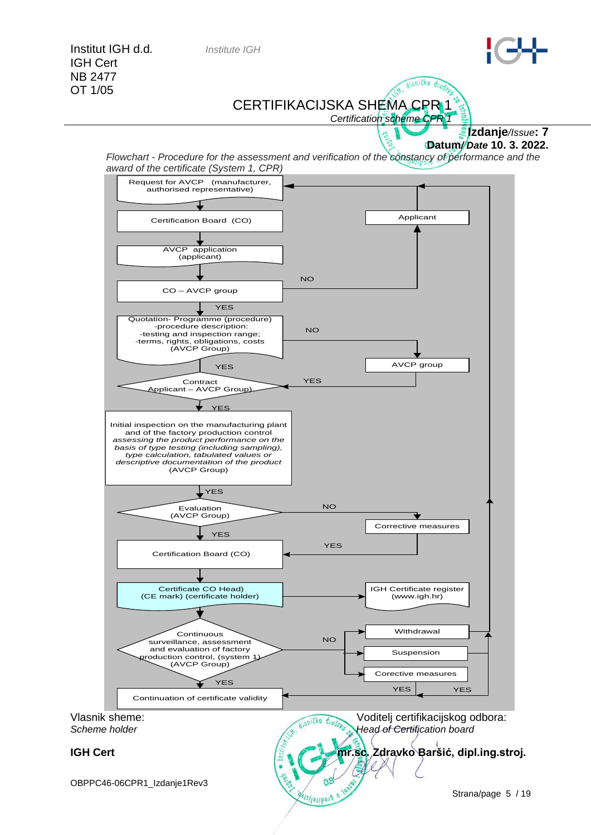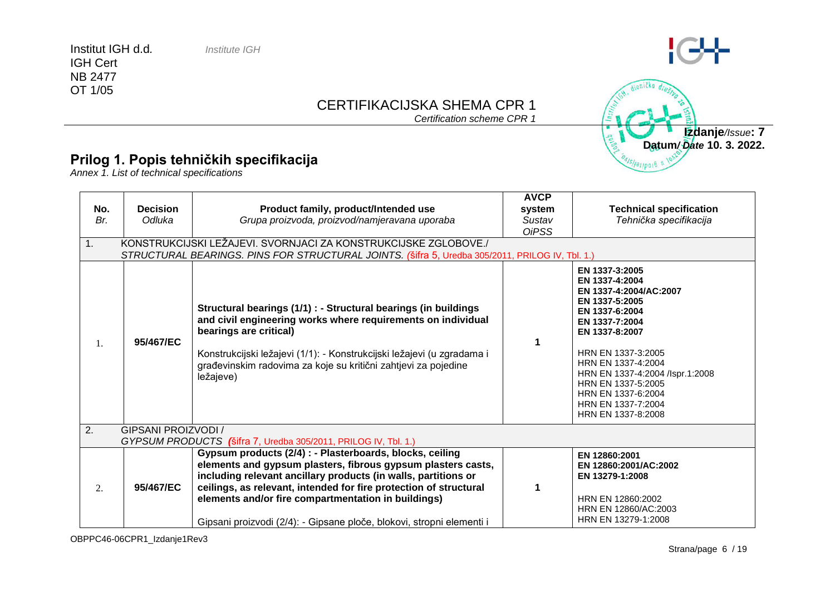# CERTIFIKACIJSKA SHEMA CPR 1

*Certification scheme CPR 1*

#### **Prilog 1. Popis tehničkih specifikacija**

*Annex 1. List of technical specifications*

| No.<br>Br.<br>1. | <b>Decision</b><br>Odluka                                      | Product family, product/Intended use<br>Grupa proizvoda, proizvod/namjeravana uporaba<br>KONSTRUKCIJSKI LEŽAJEVI. SVORNJACI ZA KONSTRUKCIJSKE ZGLOBOVE./<br>STRUCTURAL BEARINGS. PINS FOR STRUCTURAL JOINTS. (Sifra 5, Uredba 305/2011, PRILOG IV, Tbl. 1.)                                                                                                                                     | <b>AVCP</b><br>system<br>Sustav<br><b>OiPSS</b> | <b>Technical specification</b><br>Tehnička specifikacija                                                                                                                                                                                                                                                  |  |
|------------------|----------------------------------------------------------------|-------------------------------------------------------------------------------------------------------------------------------------------------------------------------------------------------------------------------------------------------------------------------------------------------------------------------------------------------------------------------------------------------|-------------------------------------------------|-----------------------------------------------------------------------------------------------------------------------------------------------------------------------------------------------------------------------------------------------------------------------------------------------------------|--|
| 1.               | 95/467/EC                                                      | Structural bearings (1/1) : - Structural bearings (in buildings<br>and civil engineering works where requirements on individual<br>bearings are critical)<br>Konstrukcijski ležajevi (1/1): - Konstrukcijski ležajevi (u zgradama i<br>građevinskim radovima za koje su kritični zahtjevi za pojedine<br>ležajeve)                                                                              | 1                                               | EN 1337-3:2005<br>EN 1337-4:2004<br>EN 1337-4:2004/AC:2007<br>EN 1337-5:2005<br>EN 1337-6:2004<br>EN 1337-7:2004<br>EN 1337-8:2007<br>HRN EN 1337-3:2005<br>HRN EN 1337-4:2004<br>HRN EN 1337-4:2004 /lspr.1:2008<br>HRN EN 1337-5:2005<br>HRN EN 1337-6:2004<br>HRN EN 1337-7:2004<br>HRN EN 1337-8:2008 |  |
| 2.               | <b>GIPSANI PROIZVODI /</b>                                     |                                                                                                                                                                                                                                                                                                                                                                                                 |                                                 |                                                                                                                                                                                                                                                                                                           |  |
|                  | GYPSUM PRODUCTS (Šifra 7, Uredba 305/2011, PRILOG IV, Tbl. 1.) |                                                                                                                                                                                                                                                                                                                                                                                                 |                                                 |                                                                                                                                                                                                                                                                                                           |  |
| 2.               | 95/467/EC                                                      | Gypsum products (2/4) : - Plasterboards, blocks, ceiling<br>elements and gypsum plasters, fibrous gypsum plasters casts,<br>including relevant ancillary products (in walls, partitions or<br>ceilings, as relevant, intended for fire protection of structural<br>elements and/or fire compartmentation in buildings)<br>Gipsani proizvodi (2/4): - Gipsane ploče, blokovi, stropni elementi i | 1                                               | EN 12860:2001<br>EN 12860:2001/AC:2002<br>EN 13279-1:2008<br>HRN EN 12860:2002<br>HRN EN 12860/AC:2003<br>HRN EN 13279-1:2008                                                                                                                                                                             |  |



 $\Theta$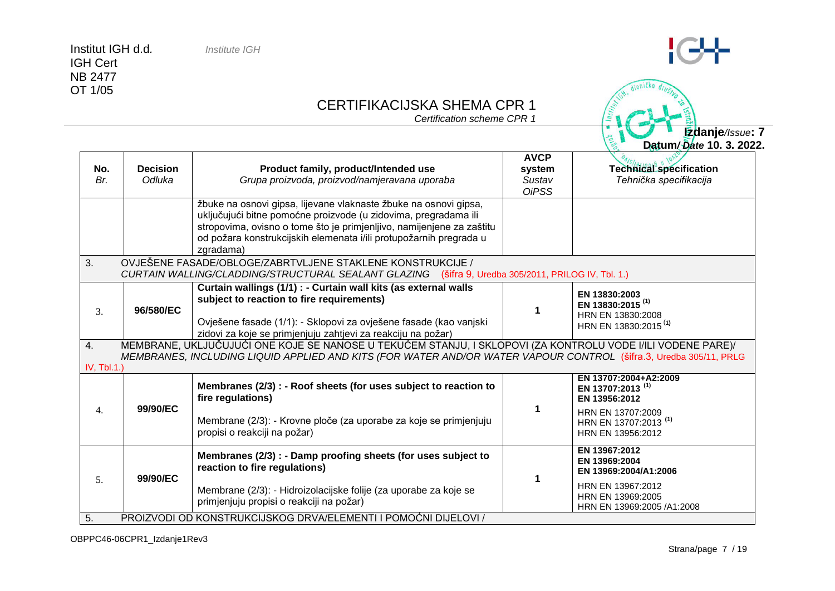## CERTIFIKACIJSKA SHEMA CPR 1

*Certification scheme CPR 1*

| <b>Technical specification</b><br>Tehnička specifikacija                                                                                                                                                                         |
|----------------------------------------------------------------------------------------------------------------------------------------------------------------------------------------------------------------------------------|
|                                                                                                                                                                                                                                  |
|                                                                                                                                                                                                                                  |
| CURTAIN WALLING/CLADDING/STRUCTURAL SEALANT GLAZING (šifra 9, Uredba 305/2011, PRILOG IV, Tbl. 1.)                                                                                                                               |
| EN 13830:2003<br>EN 13830:2015 <sup>(1)</sup><br>HRN EN 13830:2008<br>HRN EN 13830:2015 <sup>(1)</sup>                                                                                                                           |
| MEMBRANE, UKLJUČUJUĆI ONE KOJE SE NANOSE U TEKUĆEM STANJU, I SKLOPOVI (ZA KONTROLU VODE I/ILI VODENE PARE)/<br>MEMBRANES, INCLUDING LIQUID APPLIED AND KITS (FOR WATER AND/OR WATER VAPOUR CONTROL (šifra.3, Uredba 305/11, PRLG |
| EN 13707:2004+A2:2009<br>EN 13707:2013 <sup>(1)</sup><br>EN 13956:2012<br>HRN EN 13707:2009<br>HRN EN 13707:2013 <sup>(1)</sup><br>HRN EN 13956:2012                                                                             |
| EN 13967:2012<br>EN 13969:2004<br>EN 13969:2004/A1:2006                                                                                                                                                                          |
| HRN EN 13967:2012<br>HRN EN 13969:2005<br>HRN EN 13969:2005 /A1:2008                                                                                                                                                             |
|                                                                                                                                                                                                                                  |



innička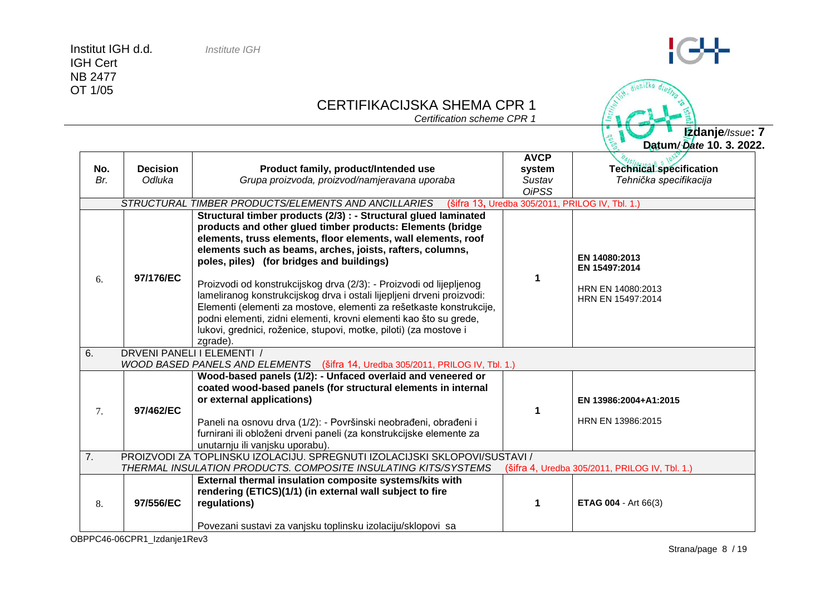IGH Cert NB 2477 OT 1/05

# CERTIFIKACIJSKA SHEMA CPR 1

*Certification scheme CPR 1*

**Izdanje***/Issue***: 7 Datum***/ Date* **10. 3. 2022.**

|     |                                                                                                |                                                                                                                                        | <b>AVCP</b>  |                                                |  |
|-----|------------------------------------------------------------------------------------------------|----------------------------------------------------------------------------------------------------------------------------------------|--------------|------------------------------------------------|--|
| No. | <b>Decision</b>                                                                                | Product family, product/Intended use                                                                                                   | system       | <b>Technical specification</b>                 |  |
| Br. | Odluka                                                                                         | Grupa proizvoda, proizvod/namjeravana uporaba                                                                                          | Sustav       | Tehnička specifikacija                         |  |
|     |                                                                                                |                                                                                                                                        | <b>OiPSS</b> |                                                |  |
|     |                                                                                                | STRUCTURAL TIMBER PRODUCTS/ELEMENTS AND ANCILLARIES (šifra 13, Uredba 305/2011, PRILOG IV, Tbl. 1.)                                    |              |                                                |  |
|     |                                                                                                | Structural timber products (2/3) : - Structural glued laminated                                                                        |              |                                                |  |
|     |                                                                                                | products and other glued timber products: Elements (bridge                                                                             |              |                                                |  |
|     |                                                                                                | elements, truss elements, floor elements, wall elements, roof                                                                          |              |                                                |  |
|     |                                                                                                | elements such as beams, arches, joists, rafters, columns,                                                                              |              | EN 14080:2013                                  |  |
|     |                                                                                                | poles, piles) (for bridges and buildings)                                                                                              |              | EN 15497:2014                                  |  |
| 6.  | 97/176/EC                                                                                      |                                                                                                                                        | 1            |                                                |  |
|     |                                                                                                | Proizvodi od konstrukcijskog drva (2/3): - Proizvodi od lijepljenog                                                                    |              | HRN EN 14080:2013                              |  |
|     | lameliranog konstrukcijskog drva i ostali lijepljeni drveni proizvodi:                         |                                                                                                                                        |              | HRN EN 15497:2014                              |  |
|     |                                                                                                | Elementi (elementi za mostove, elementi za rešetkaste konstrukcije,                                                                    |              |                                                |  |
|     |                                                                                                | podni elementi, zidni elementi, krovni elementi kao što su grede,<br>lukovi, grednici, roženice, stupovi, motke, piloti) (za mostove i |              |                                                |  |
|     | zgrade).                                                                                       |                                                                                                                                        |              |                                                |  |
| 6.  |                                                                                                | DRVENI PANELI I ELEMENTI /                                                                                                             |              |                                                |  |
|     | WOOD BASED PANELS AND ELEMENTS (šifra 14, Uredba 305/2011, PRILOG IV, Tbl. 1.)                 |                                                                                                                                        |              |                                                |  |
|     |                                                                                                | Wood-based panels (1/2): - Unfaced overlaid and veneered or                                                                            |              |                                                |  |
|     |                                                                                                | coated wood-based panels (for structural elements in internal                                                                          |              |                                                |  |
|     |                                                                                                | or external applications)                                                                                                              |              | EN 13986:2004+A1:2015                          |  |
| 7.  | 97/462/EC                                                                                      |                                                                                                                                        |              |                                                |  |
|     |                                                                                                | Paneli na osnovu drva (1/2): - Površinski neobrađeni, obrađeni i                                                                       |              | HRN EN 13986:2015                              |  |
|     | furnirani ili obloženi drveni paneli (za konstrukcijske elemente za                            |                                                                                                                                        |              |                                                |  |
|     |                                                                                                | unutarnju ili vanjsku uporabu).                                                                                                        |              |                                                |  |
|     | $\overline{7}$ .<br>PROIZVODI ZA TOPLINSKU IZOLACIJU. SPREGNUTI IZOLACIJSKI SKLOPOVI/SUSTAVI / |                                                                                                                                        |              |                                                |  |
|     |                                                                                                | THERMAL INSULATION PRODUCTS. COMPOSITE INSULATING KITS/SYSTEMS                                                                         |              | (šifra 4, Uredba 305/2011, PRILOG IV, Tbl. 1.) |  |
|     |                                                                                                | External thermal insulation composite systems/kits with                                                                                |              |                                                |  |
|     | rendering (ETICS)(1/1) (in external wall subject to fire                                       |                                                                                                                                        |              |                                                |  |
| 8.  | 97/556/EC                                                                                      | regulations)                                                                                                                           |              | <b>ETAG 004 - Art 66(3)</b>                    |  |
|     |                                                                                                |                                                                                                                                        |              |                                                |  |
|     | Povezani sustavi za vanjsku toplinsku izolaciju/sklopovi sa                                    |                                                                                                                                        |              |                                                |  |



dioničko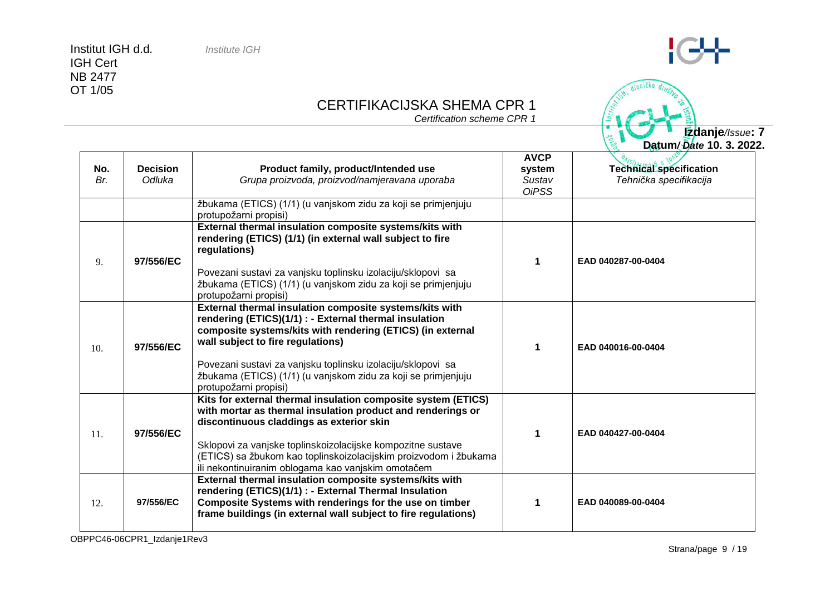### CERTIFIKACIJSKA SHEMA CPR 1

*Certification scheme CPR 1*

**Datum***/ Date* **10. 3. 2022. No.** *Br.* **Decision** *Odluka* **Product family, product/Intended use** *Grupa proizvoda, proizvod/namjeravana uporaba* **AVCP system** *Sustav OiPSS* **Technical specification** *Tehnička specifikacija* žbukama (ETICS) (1/1) (u vanjskom zidu za koji se primjenjuju protupožarni propisi) 9. **97/556/EC External thermal insulation composite systems/kits with rendering (ETICS) (1/1) (in external wall subject to fire regulations)** Povezani sustavi za vanjsku toplinsku izolaciju/sklopovi sa žbukama (ETICS) (1/1) (u vanjskom zidu za koji se primjenjuju protupožarni propisi) **1 EAD 040287-00-0404**  10. **97/556/EC External thermal insulation composite systems/kits with rendering (ETICS)(1/1) : - External thermal insulation composite systems/kits with rendering (ETICS) (in external wall subject to fire regulations)** Povezani sustavi za vanjsku toplinsku izolaciju/sklopovi sa žbukama (ETICS) (1/1) (u vanjskom zidu za koji se primjenjuju protupožarni propisi) **1 EAD 040016-00-0404**  11. **97/556/EC Kits for external thermal insulation composite system (ETICS) with mortar as thermal insulation product and renderings or discontinuous claddings as exterior skin** Sklopovi za vanjske toplinskoizolacijske kompozitne sustave (ETICS) sa žbukom kao toplinskoizolacijskim proizvodom i žbukama ili nekontinuiranim oblogama kao vanjskim omotačem **1 EAD 040427-00-0404** 12. **97/556/EC External thermal insulation composite systems/kits with rendering (ETICS)(1/1) : - External Thermal Insulation Composite Systems with renderings for the use on timber frame buildings (in external wall subject to fire regulations) 1 EAD 040089-00-0404**

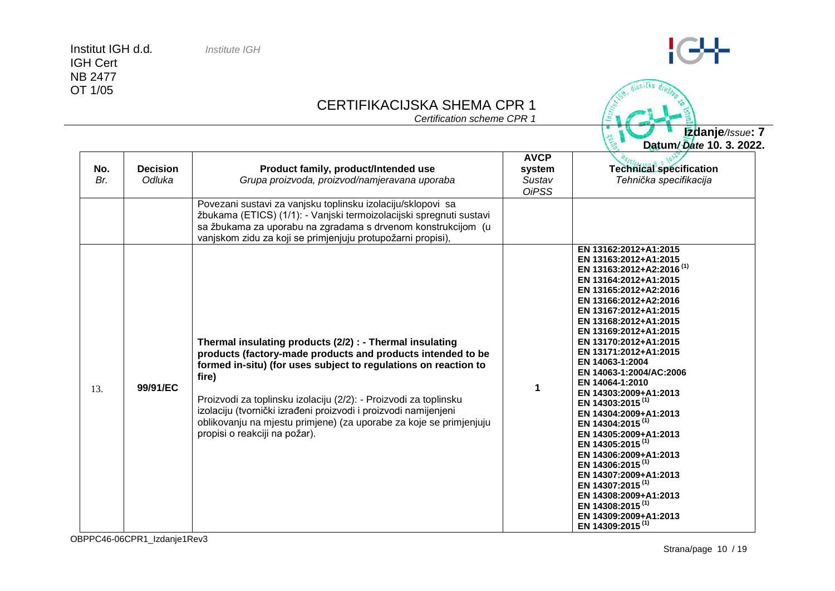### CERTIFIKACIJSKA SHEMA CPR 1

*Certification scheme CPR 1*

**No.** *Br.* **Decision** *Odluka* **Product family, product/Intended use** *Grupa proizvoda, proizvod/namjeravana uporaba* **AVCP system** *Sustav OiPSS* **Technical specification** *Tehnička specifikacija* Povezani sustavi za vanjsku toplinsku izolaciju/sklopovi sa žbukama (ETICS) (1/1): - Vanjski termoizolacijski spregnuti sustavi sa žbukama za uporabu na zgradama s drvenom konstrukcijom (u vanjskom zidu za koji se primjenjuju protupožarni propisi), 13. **99/91/EC Thermal insulating products (2/2) : - Thermal insulating products (factory-made products and products intended to be formed in-situ) (for uses subject to regulations on reaction to fire)** Proizvodi za toplinsku izolaciju (2/2): - Proizvodi za toplinsku izolaciju (tvornički izrađeni proizvodi i proizvodi namijenjeni oblikovanju na mjestu primjene) (za uporabe za koje se primjenjuju propisi o reakciji na požar). **1 EN 13162:2012+A1:2015 EN 13163:2012+A1:2015 EN 13163:2012+A2:2016 (1) EN 13164:2012+A1:2015 EN 13165:2012+A2:2016 EN 13166:2012+A2:2016 EN 13167:2012+A1:2015 EN 13168:2012+A1:2015 EN 13169:2012+A1:2015 EN 13170:2012+A1:2015 EN 13171:2012+A1:2015 EN 14063-1:2004 EN 14063-1:2004/AC:2006 EN 14064-1:2010 EN 14303:2009+A1:2013 EN 14303:2015 (1) EN 14304:2009+A1:2013 EN 14304:2015 (1) EN 14305:2009+A1:2013 EN 14305:2015 (1) EN 14306:2009+A1:2013 EN 14306:2015 (1) EN 14307:2009+A1:2013 EN 14307:2015 (1) EN 14308:2009+A1:2013 EN 14308:2015 (1) EN 14309:2009+A1:2013 EN 14309:2015 (1)**



**Izdanje***/Issue***: 7**

**Datum***/ Date* **10. 3. 2022.**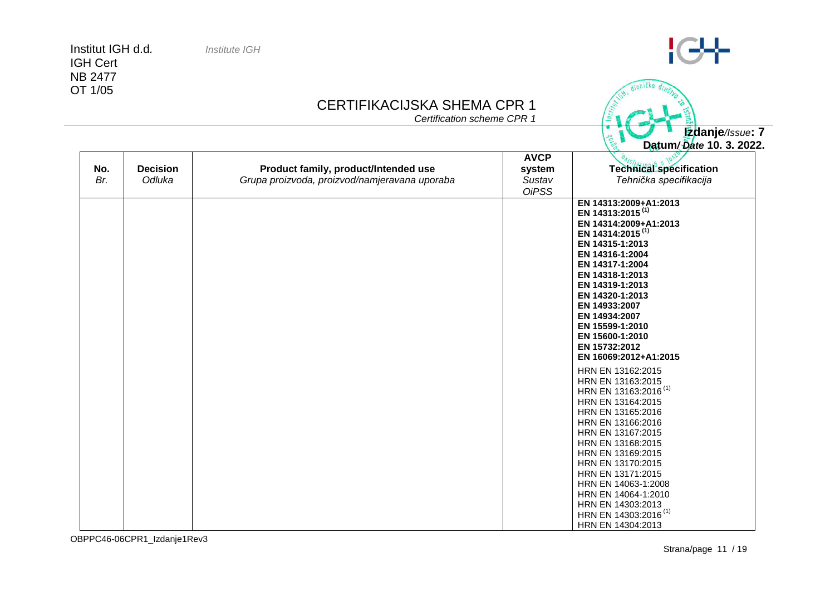IGH Cert NB 2477 OT 1/05

# CERTIFIKACIJSKA SHEMA CPR 1

*Certification scheme CPR 1*

| No.<br>Br. | <b>Decision</b><br>Odluka | Product family, product/Intended use<br>Grupa proizvoda, proizvod/namjeravana uporaba | <b>AVCP</b><br>system<br>Sustav | $-$<br>Technical specification<br>Tehnička specifikacija                                                             |
|------------|---------------------------|---------------------------------------------------------------------------------------|---------------------------------|----------------------------------------------------------------------------------------------------------------------|
|            |                           |                                                                                       | <b>OiPSS</b>                    |                                                                                                                      |
|            |                           |                                                                                       |                                 | EN 14313:2009+A1:2013<br>EN 14313:2015 <sup>(1)</sup><br>EN 14314:2009+A1:2013                                       |
|            |                           |                                                                                       |                                 | EN 14314:2015 <sup>(1)</sup><br>EN 14315-1:2013<br>EN 14316-1:2004                                                   |
|            |                           |                                                                                       |                                 | EN 14317-1:2004<br>EN 14318-1:2013<br>EN 14319-1:2013                                                                |
|            |                           |                                                                                       |                                 | EN 14320-1:2013<br>EN 14933:2007<br>EN 14934:2007                                                                    |
|            |                           |                                                                                       |                                 | EN 15599-1:2010<br>EN 15600-1:2010<br>EN 15732:2012                                                                  |
|            |                           |                                                                                       |                                 | EN 16069:2012+A1:2015                                                                                                |
|            |                           |                                                                                       |                                 | HRN EN 13162:2015<br>HRN EN 13163:2015<br>HRN EN 13163:2016 <sup>(1)</sup><br>HRN EN 13164:2015<br>HRN EN 13165:2016 |
|            |                           |                                                                                       |                                 | HRN EN 13166:2016<br>HRN EN 13167:2015<br>HRN EN 13168:2015                                                          |
|            |                           |                                                                                       |                                 | HRN EN 13169:2015<br>HRN EN 13170:2015<br>HRN EN 13171:2015                                                          |
|            |                           |                                                                                       |                                 | HRN EN 14063-1:2008<br>HRN EN 14064-1:2010<br>HRN EN 14303:2013                                                      |
|            |                           |                                                                                       |                                 | HRN EN 14303:2016 <sup>(1)</sup><br>HRN EN 14304:2013                                                                |

 $C+$ 

dioničko **Izdanje***/Issue***: 7 Datum***/ Date* **10. 3. 2022.**

 $\begin{pmatrix} 1 & 0 \\ 0 & 0 \\ 0 & 0 \end{pmatrix}$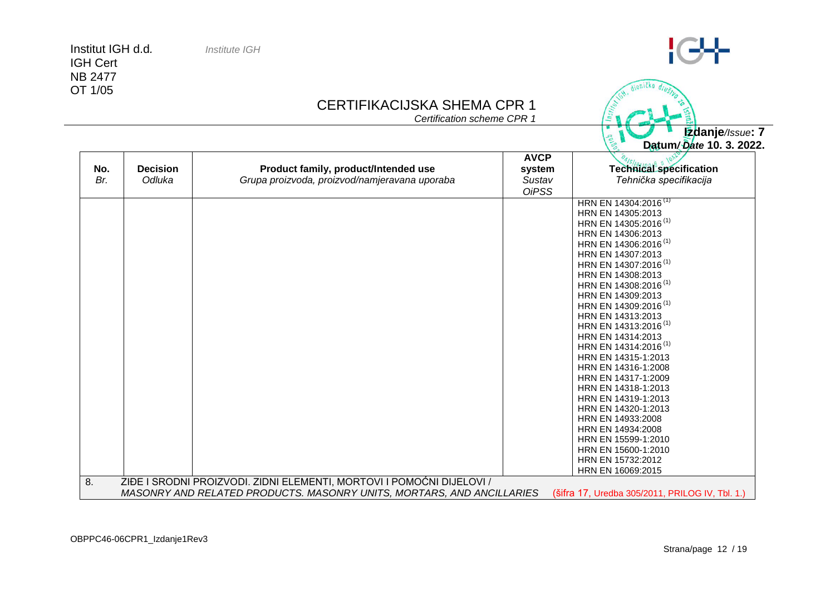IGH Cert NB 2477 OT 1/05

### CERTIFIKACIJSKA SHEMA CPR 1

*Certification scheme CPR 1*

|                        |                                               |                        | Datum/Date 10. 3. 2022.<br>C.                                                                                                                                                                                                                                                                                                                                                                                                                                                                                                                                                                                                                                                                                               |
|------------------------|-----------------------------------------------|------------------------|-----------------------------------------------------------------------------------------------------------------------------------------------------------------------------------------------------------------------------------------------------------------------------------------------------------------------------------------------------------------------------------------------------------------------------------------------------------------------------------------------------------------------------------------------------------------------------------------------------------------------------------------------------------------------------------------------------------------------------|
| No.<br><b>Decision</b> | Product family, product/Intended use          | <b>AVCP</b><br>system  | <b>Technical specification</b>                                                                                                                                                                                                                                                                                                                                                                                                                                                                                                                                                                                                                                                                                              |
| Br.<br>Odluka          | Grupa proizvoda, proizvod/namjeravana uporaba | Sustav<br><b>OiPSS</b> | Tehnička specifikacija                                                                                                                                                                                                                                                                                                                                                                                                                                                                                                                                                                                                                                                                                                      |
|                        |                                               |                        | HRN EN 14304:2016 <sup>(1)</sup><br>HRN EN 14305:2013<br>HRN EN 14305:2016 <sup>(1)</sup><br>HRN EN 14306:2013<br>HRN EN 14306:2016 <sup>(1)</sup><br>HRN EN 14307:2013<br>HRN EN 14307:2016 <sup>(1)</sup><br>HRN EN 14308:2013<br>HRN EN 14308:2016 <sup>(1)</sup><br>HRN EN 14309:2013<br>HRN EN 14309:2016 <sup>(1)</sup><br>HRN EN 14313:2013<br>HRN EN 14313:2016 <sup>(1)</sup><br>HRN EN 14314:2013<br>HRN EN 14314:2016 <sup>(1)</sup><br>HRN EN 14315-1:2013<br>HRN EN 14316-1:2008<br>HRN EN 14317-1:2009<br>HRN EN 14318-1:2013<br>HRN EN 14319-1:2013<br>HRN EN 14320-1:2013<br>HRN EN 14933:2008<br>HRN EN 14934:2008<br>HRN EN 15599-1:2010<br>HRN EN 15600-1:2010<br>HRN EN 15732:2012<br>HRN EN 16069:2015 |



 $C+$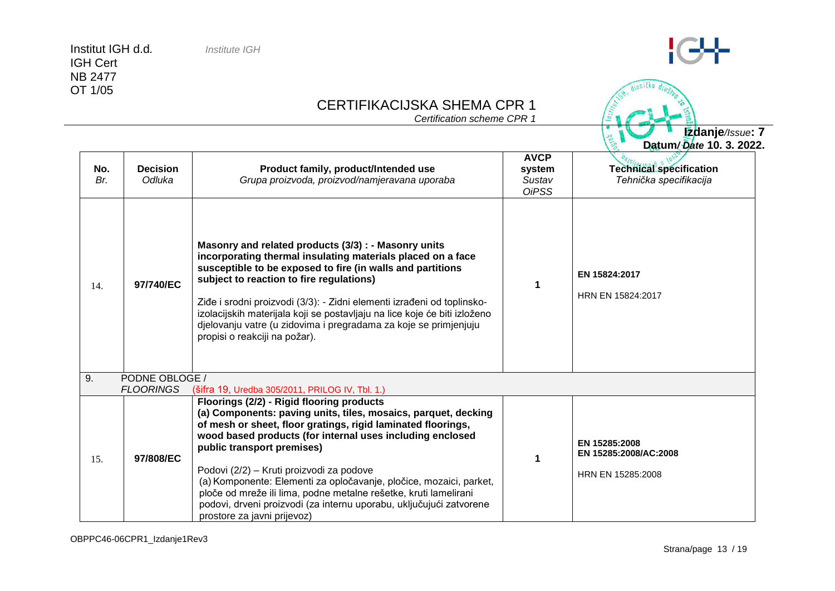IGH Cert NB 2477 OT 1/05

# CERTIFIKACIJSKA SHEMA CPR 1

*Certification scheme CPR 1*

**Datum***/ Date* **10. 3. 2022. No.** *Br.* **Decision** *Odluka* **Product family, product/Intended use** *Grupa proizvoda, proizvod/namjeravana uporaba* **AVCP system** *Sustav OiPSS* **Technical specification** *Tehnička specifikacija* 14. **97/740/EC Masonry and related products (3/3) : - Masonry units incorporating thermal insulating materials placed on a face susceptible to be exposed to fire (in walls and partitions subject to reaction to fire regulations)** Ziđe i srodni proizvodi (3/3): - Zidni elementi izrađeni od toplinskoizolacijskih materijala koji se postavljaju na lice koje će biti izloženo djelovanju vatre (u zidovima i pregradama za koje se primjenjuju propisi o reakciji na požar). **1 EN 15824:2017** HRN EN 15824:2017 9. PODNE OBLOGE /<br>FLOORINGS (šif *FLOORINGS*(šifra 19, Uredba 305/2011, PRILOG IV, Tbl. 1.) 15. **97/808/EC Floorings (2/2) - [Rigid flooring products](http://ec.europa.eu/enterprise/newapproach/nando/index.cfm?fuseaction=directive.notifiedbody&dir_id=3&pro_id=3390) [\(a\) Components: paving units, tiles, mosaics,](http://ec.europa.eu/enterprise/newapproach/nando/index.cfm?fuseaction=directive.notifiedbody&dir_id=3&pro_id=3390) parquet, decking [of mesh or sheet, floor gratings, rigid laminated floorings,](http://ec.europa.eu/enterprise/newapproach/nando/index.cfm?fuseaction=directive.notifiedbody&dir_id=3&pro_id=3390)  [wood based products](http://ec.europa.eu/enterprise/newapproach/nando/index.cfm?fuseaction=directive.notifiedbody&dir_id=3&pro_id=3390) (for internal uses including enclosed public transport premises)** Podovi (2/2) – Kruti proizvodi za podove (a) Komponente: Elementi za opločavanje, pločice, mozaici, parket, ploče od mreže ili lima, podne metalne rešetke, kruti lamelirani podovi, drveni proizvodi (za internu uporabu, uključujući zatvorene prostore za javni prijevoz) **1 EN 15285:2008 EN 15285:2008/AC:2008** HRN EN 15285:2008

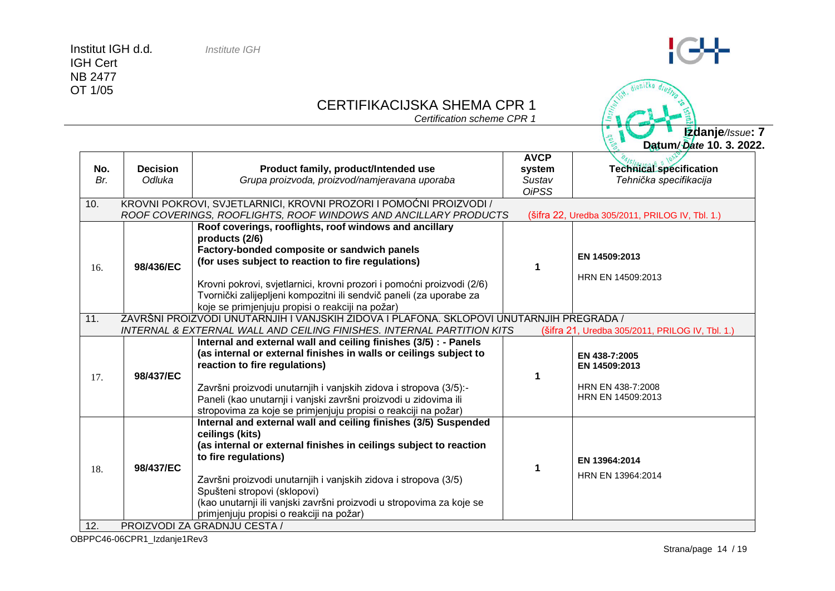# $G+$

dioničko

**Percent** 

# CERTIFIKACIJSKA SHEMA CPR 1

*Certification scheme CPR 1*

**Izdanje***/Issue***: 7 Datum***/ Date* **10. 3. 2022.**

|     |                 |                                                                                          | <b>AVCP</b>  |                                                 |
|-----|-----------------|------------------------------------------------------------------------------------------|--------------|-------------------------------------------------|
| No. | <b>Decision</b> | Product family, product/Intended use                                                     | system       | Technical specification                         |
| Br. | Odluka          | Grupa proizvoda, proizvod/namjeravana uporaba                                            | Sustav       | Tehnička specifikacija                          |
|     |                 |                                                                                          | <b>OiPSS</b> |                                                 |
| 10. |                 | KROVNI POKROVI, SVJETLARNICI, KROVNI PROZORI I POMOĆNI PROIZVODI /                       |              |                                                 |
|     |                 | ROOF COVERINGS, ROOFLIGHTS, ROOF WINDOWS AND ANCILLARY PRODUCTS                          |              | (šifra 22, Uredba 305/2011, PRILOG IV, Tbl. 1.) |
|     |                 | Roof coverings, rooflights, roof windows and ancillary                                   |              |                                                 |
|     |                 | products (2/6)                                                                           |              |                                                 |
|     |                 | Factory-bonded composite or sandwich panels                                              |              | EN 14509:2013                                   |
| 16. | 98/436/EC       | (for uses subject to reaction to fire regulations)                                       | 1            |                                                 |
|     |                 |                                                                                          |              | HRN EN 14509:2013                               |
|     |                 | Krovni pokrovi, svjetlarnici, krovni prozori i pomoćni proizvodi (2/6)                   |              |                                                 |
|     |                 | Tvornički zalijepljeni kompozitni ili sendvič paneli (za uporabe za                      |              |                                                 |
|     |                 | koje se primjenjuju propisi o reakciji na požar)                                         |              |                                                 |
| 11. |                 | ZAVRŠNI PROIZVODI UNUTARNJIH I VANJSKIH ZIDOVA I PLAFONA. SKLOPOVI UNUTARNJIH PREGRADA / |              |                                                 |
|     |                 | INTERNAL & EXTERNAL WALL AND CEILING FINISHES. INTERNAL PARTITION KITS                   |              | (šifra 21, Uredba 305/2011, PRILOG IV, Tbl. 1.) |
|     |                 | Internal and external wall and ceiling finishes (3/5) : - Panels                         |              |                                                 |
|     |                 | (as internal or external finishes in walls or ceilings subject to                        |              | EN 438-7:2005                                   |
|     |                 | reaction to fire regulations)                                                            |              | EN 14509:2013                                   |
| 17. | 98/437/EC       |                                                                                          | 1            | HRN EN 438-7:2008                               |
|     |                 | Završni proizvodi unutarnjih i vanjskih zidova i stropova (3/5):-                        |              | HRN EN 14509:2013                               |
|     |                 | Paneli (kao unutarnji i vanjski završni proizvodi u zidovima ili                         |              |                                                 |
|     |                 | stropovima za koje se primjenjuju propisi o reakciji na požar)                           |              |                                                 |
|     |                 | Internal and external wall and ceiling finishes (3/5) Suspended                          |              |                                                 |
|     |                 | ceilings (kits)<br>(as internal or external finishes in ceilings subject to reaction     |              |                                                 |
|     |                 | to fire regulations)                                                                     |              |                                                 |
| 18. | 98/437/EC       |                                                                                          |              | EN 13964:2014                                   |
|     |                 | Završni proizvodi unutarnjih i vanjskih zidova i stropova (3/5)                          |              | HRN EN 13964:2014                               |
|     |                 | Spušteni stropovi (sklopovi)                                                             |              |                                                 |
|     |                 | (kao unutarnji ili vanjski završni proizvodi u stropovima za koje se                     |              |                                                 |
|     |                 | primjenjuju propisi o reakciji na požar)                                                 |              |                                                 |
| 12. |                 | PROIZVODI ZA GRADNJU CESTA /                                                             |              |                                                 |

OBPPC46-06CPR1\_Izdanje1Rev3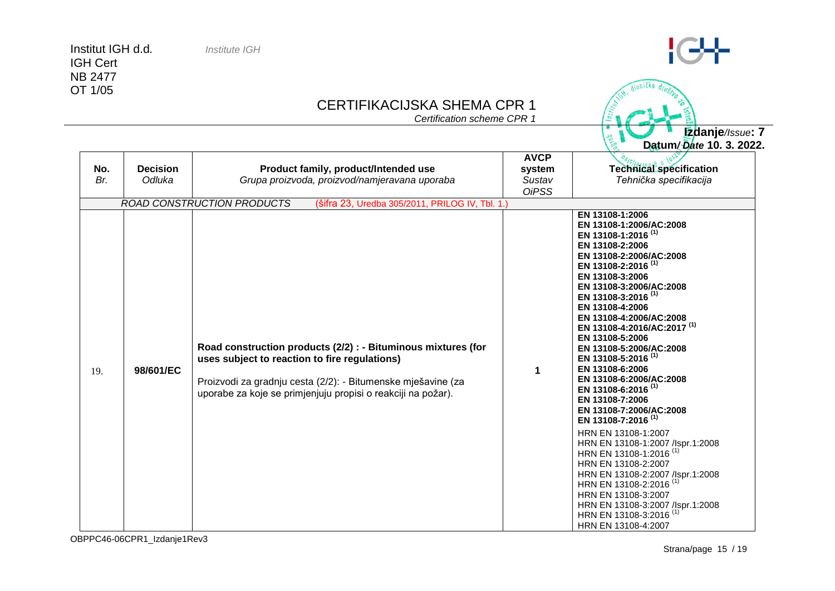IGH Cert NB 2477 OT 1/05

### CERTIFIKACIJSKA SHEMA CPR 1

*Certification scheme CPR 1*

**Izdanje***/Issue***: 7 Datum***/ Date* **10. 3. 2022.**

| No.<br>Br. | <b>Decision</b><br>Odluka | Product family, product/Intended use<br>Grupa proizvoda, proizvod/namjeravana uporaba                                                                                                                                                          | <b>AVCP</b><br>system<br>Sustav<br><b>OiPSS</b> | Technical specification<br>Tehnička specifikacija                                                                                                                                                                                                                                                                                                                                                                                                                                                                                                                                                                                                                                                                                                                                                                                                                                                              |
|------------|---------------------------|------------------------------------------------------------------------------------------------------------------------------------------------------------------------------------------------------------------------------------------------|-------------------------------------------------|----------------------------------------------------------------------------------------------------------------------------------------------------------------------------------------------------------------------------------------------------------------------------------------------------------------------------------------------------------------------------------------------------------------------------------------------------------------------------------------------------------------------------------------------------------------------------------------------------------------------------------------------------------------------------------------------------------------------------------------------------------------------------------------------------------------------------------------------------------------------------------------------------------------|
|            |                           | <b>ROAD CONSTRUCTION PRODUCTS</b><br>(šifra 23, Uredba 305/2011, PRILOG IV, Tbl. 1.)                                                                                                                                                           |                                                 |                                                                                                                                                                                                                                                                                                                                                                                                                                                                                                                                                                                                                                                                                                                                                                                                                                                                                                                |
| 19.        | 98/601/EC                 | Road construction products (2/2) : - Bituminous mixtures (for<br>uses subject to reaction to fire regulations)<br>Proizvodi za gradnju cesta (2/2): - Bitumenske mješavine (za<br>uporabe za koje se primjenjuju propisi o reakciji na požar). | 1                                               | EN 13108-1:2006<br>EN 13108-1:2006/AC:2008<br>EN 13108-1:2016 <sup>(1)</sup><br>EN 13108-2:2006<br>EN 13108-2:2006/AC:2008<br>EN 13108-2:2016 <sup>(1)</sup><br>EN 13108-3:2006<br>EN 13108-3:2006/AC:2008<br>EN 13108-3:2016 <sup>(1)</sup><br>EN 13108-4:2006<br>EN 13108-4:2006/AC:2008<br>EN 13108-4:2016/AC:2017 <sup>(1)</sup><br>EN 13108-5:2006<br>EN 13108-5:2006/AC:2008<br>EN 13108-5:2016 <sup>(1)</sup><br>EN 13108-6:2006<br>EN 13108-6:2006/AC:2008<br>EN 13108-6:2016 <sup>(1)</sup><br>EN 13108-7:2006<br>EN 13108-7:2006/AC:2008<br>EN 13108-7:2016 <sup>(1)</sup><br>HRN EN 13108-1:2007<br>HRN EN 13108-1:2007 /lspr.1:2008<br>HRN EN 13108-1:2016 <sup>(1)</sup><br>HRN EN 13108-2:2007<br>HRN EN 13108-2:2007 /lspr.1:2008<br>HRN EN 13108-2:2016 <sup>(1)</sup><br>HRN EN 13108-3:2007<br>HRN EN 13108-3:2007 /lspr.1:2008<br>HRN EN 13108-3:2016 <sup>(1)</sup><br>HRN EN 13108-4:2007 |



dioničko

Institut IGH d.d*. Institute IGH*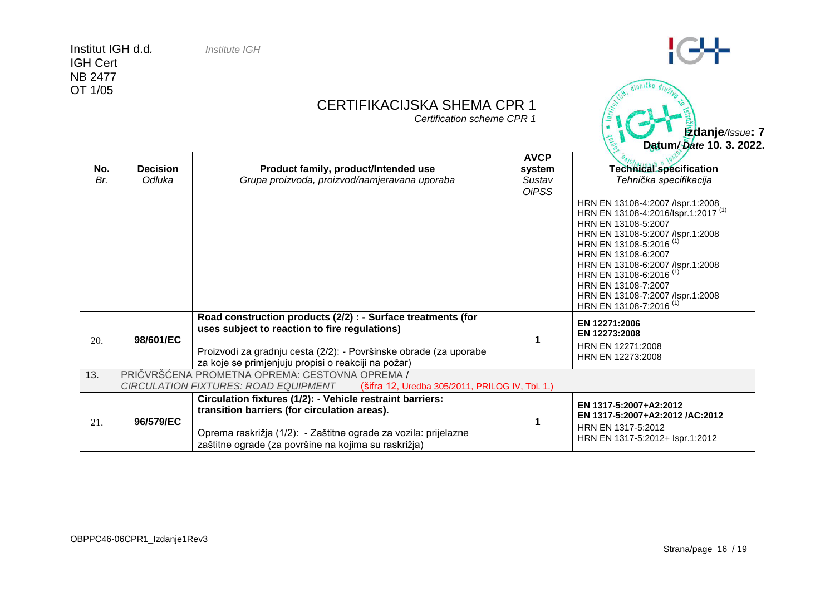IGH Cert NB 2477 OT 1/05

### CERTIFIKACIJSKA SHEMA CPR 1

*Certification scheme CPR 1*

**Datum***/ Date* **10. 3. 2022. No.** *Br.* **Decision** *Odluka* **Product family, product/Intended use** *Grupa proizvoda, proizvod/namjeravana uporaba* **AVCP system** *Sustav OiPSS* **Technical specification** *Tehnička specifikacija* HRN EN 13108-4:2007 /Ispr.1:2008 HRN EN 13108-4:2016/Ispr.1:2017 (1) HRN EN 13108-5:2007 HRN EN 13108-5:2007 /Ispr.1:2008 HRN EN 13108-5:2016<sup>(1)</sup> HRN EN 13108-6:2007 HRN EN 13108-6:2007 /Ispr.1:2008 HRN EN 13108-6:2016 (1) HRN EN 13108-7:2007 HRN EN 13108-7:2007 /Ispr.1:2008 HRN EN 13108-7:2016 (1) 20. **98/601/EC Road construction products (2/2) : - Surface treatments (for uses subject to reaction to fire regulations)** Proizvodi za gradnju cesta (2/2): - Površinske obrade (za uporabe za koje se primjenjuju propisi o reakciji na požar) **1 EN 12271:2006 EN 12273:2008** HRN EN 12271:2008 HRN EN 12273:2008 13. PRIČVRŠĆENA PROMETNA OPREMA: CESTOVNA OPREMA / *CIRCULATION FIXTURES: ROAD EQUIPMENT* (šifra 12, Uredba 305/2011, PRILOG IV, Tbl. 1.) 21. **96/579/EC Circulation fixtures (1/2): - Vehicle restraint barriers: transition barriers (for circulation areas).** Oprema raskrižja (1/2): - Zaštitne ograde za vozila: prijelazne zaštitne ograde (za površine na kojima su raskrižja) **1 EN 1317-5:2007+A2:2012 EN 1317-5:2007+A2:2012 /AC:2012** HRN EN 1317-5:2012 HRN EN 1317-5:2012+ Ispr.1:2012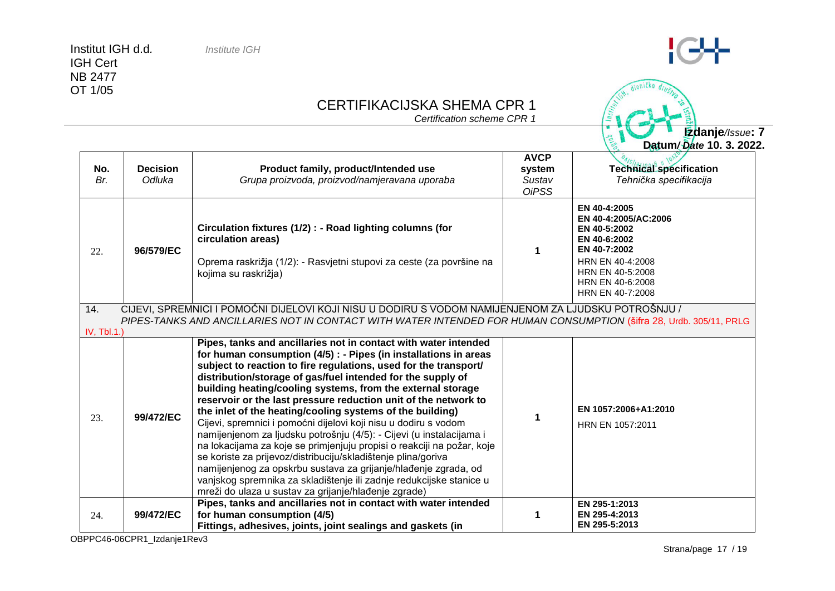#### CERTIFIKACIJSKA SHEMA CPR 1

*Certification scheme CPR 1*

**No.** *Br.* **Decision** *Odluka* **Product family, product/Intended use** *Grupa proizvoda, proizvod/namjeravana uporaba* **AVCP system** *Sustav OiPSS* **Technical specification** *Tehnička specifikacija* 22. **96/579/EC Circulation fixtures (1/2) : - Road lighting columns (for circulation areas)** Oprema raskrižja (1/2): - Rasvjetni stupovi za ceste (za površine na kojima su raskrižja) **1 EN 40-4:2005 EN 40-4:2005/AC:2006 EN 40-5:2002 EN 40-6:2002 EN 40-7:2002** HRN EN 40-4:2008 HRN EN 40-5:2008 HRN EN 40-6:2008 HRN EN 40-7:2008 14. CIJEVI, SPREMNICI I POMOĆNI DIJELOVI KOJI NISU U DODIRU S VODOM NAMIJENJENOM ZA LJUDSKU POTROŠNJU / *PIPES-TANKS AND ANCILLARIES NOT IN CONTACT WITH WATER INTENDED FOR HUMAN CONSUMPTION* (šifra 28, Urdb. 305/11, PRLG IV, Tbl.1.) 23. **99/472/EC Pipes, tanks and ancillaries not in contact with water intended for human consumption (4/5) : - Pipes (in installations in areas subject to reaction to fire regulations, used for the transport/ distribution/storage of gas/fuel intended for the supply of building heating/cooling systems, from the external storage reservoir or the last pressure reduction unit of the network to the inlet of the heating/cooling systems of the building)** Cijevi, spremnici i pomoćni dijelovi koji nisu u dodiru s vodom namijenjenom za ljudsku potrošnju (4/5): - Cijevi (u instalacijama i na lokacijama za koje se primjenjuju propisi o reakciji na požar, koje se koriste za prijevoz/distribuciju/skladištenje plina/goriva namijenjenog za opskrbu sustava za grijanje/hlađenje zgrada, od vanjskog spremnika za skladištenje ili zadnje redukcijske stanice u mreži do ulaza u sustav za grijanje/hlađenje zgrade) **1 EN 1057:2006+A1:2010** HRN EN 1057:2011 24. **99/472/EC Pipes, tanks and ancillaries not in contact with water intended for human consumption (4/5) [Fittings, adhesives, joints, joint sealings and gaskets](http://ec.europa.eu/enterprise/newapproach/nando/index.cfm?fuseaction=directive.notifiedbody&dir_id=3&pro_id=3761) (in 1 EN 295-1:2013 EN 295-4:2013 EN 295-5:2013**



**Izdanje***/Issue***: 7**

**Datum***/ Date* **10. 3. 2022.**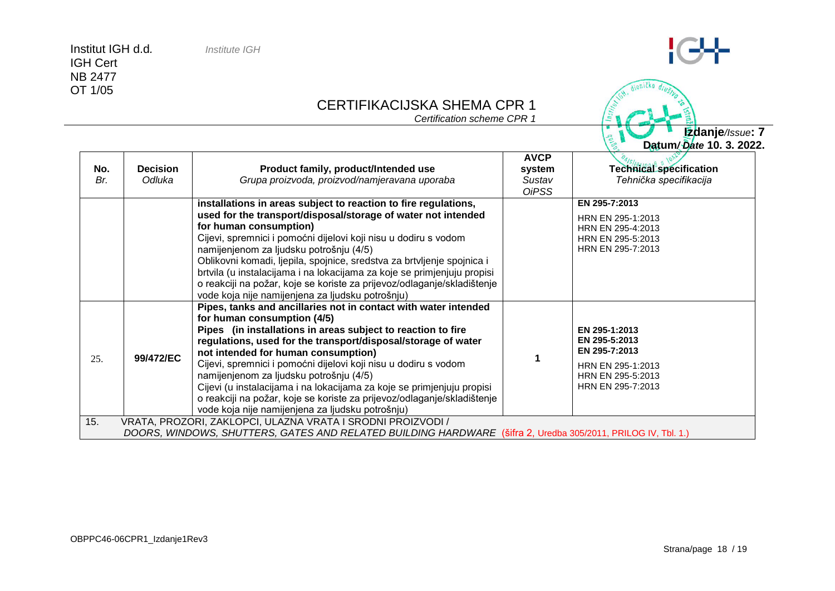#### CERTIFIKACIJSKA SHEMA CPR 1

*Certification scheme CPR 1*

| Datum/Date 10. 3. 2022. |
|-------------------------|
| Edanje/Issue: 7         |
|                         |

dioničko dio

 $ln_{5L}$ 

**COVERED** 

| No.<br>Br. | <b>Decision</b><br>Odluka                                                                                                                                                   | Product family, product/Intended use<br>Grupa proizvoda, proizvod/namjeravana uporaba                                                                                                                                                                                                                                                                                                                                                                                                                                                                                                         | <b>AVCP</b><br>system<br>Sustav<br><b>OiPSS</b> | <b>Technical specification</b><br>Tehnička specifikacija                                                       |  |
|------------|-----------------------------------------------------------------------------------------------------------------------------------------------------------------------------|-----------------------------------------------------------------------------------------------------------------------------------------------------------------------------------------------------------------------------------------------------------------------------------------------------------------------------------------------------------------------------------------------------------------------------------------------------------------------------------------------------------------------------------------------------------------------------------------------|-------------------------------------------------|----------------------------------------------------------------------------------------------------------------|--|
|            |                                                                                                                                                                             | installations in areas subject to reaction to fire regulations,<br>used for the transport/disposal/storage of water not intended<br>for human consumption)<br>Cijevi, spremnici i pomoćni dijelovi koji nisu u dodiru s vodom<br>namijenjenom za ljudsku potrošnju (4/5)<br>Oblikovni komadi, ljepila, spojnice, sredstva za brtvljenje spojnica i<br>brtvila (u instalacijama i na lokacijama za koje se primjenjuju propisi<br>o reakciji na požar, koje se koriste za prijevoz/odlaganje/skladištenje<br>vode koja nije namijenjena za ljudsku potrošnju)                                  |                                                 | EN 295-7:2013<br>HRN EN 295-1:2013<br>HRN EN 295-4:2013<br>HRN EN 295-5:2013<br>HRN EN 295-7:2013              |  |
| 25.        | 99/472/EC                                                                                                                                                                   | Pipes, tanks and ancillaries not in contact with water intended<br>for human consumption (4/5)<br>Pipes (in installations in areas subject to reaction to fire<br>regulations, used for the transport/disposal/storage of water<br>not intended for human consumption)<br>Cijevi, spremnici i pomoćni dijelovi koji nisu u dodiru s vodom<br>namijenjenom za ljudsku potrošnju (4/5)<br>Cijevi (u instalacijama i na lokacijama za koje se primjenjuju propisi<br>o reakciji na požar, koje se koriste za prijevoz/odlaganje/skladištenje<br>vode koja nije namijenjena za ljudsku potrošnju) |                                                 | EN 295-1:2013<br>EN 295-5:2013<br>EN 295-7:2013<br>HRN EN 295-1:2013<br>HRN EN 295-5:2013<br>HRN EN 295-7:2013 |  |
| 15.        | VRATA, PROZORI, ZAKLOPCI, ULAZNA VRATA I SRODNI PROIZVODI /<br>DOORS, WINDOWS, SHUTTERS, GATES AND RELATED BUILDING HARDWARE (šifra 2, Uredba 305/2011, PRILOG IV, Tbl. 1.) |                                                                                                                                                                                                                                                                                                                                                                                                                                                                                                                                                                                               |                                                 |                                                                                                                |  |